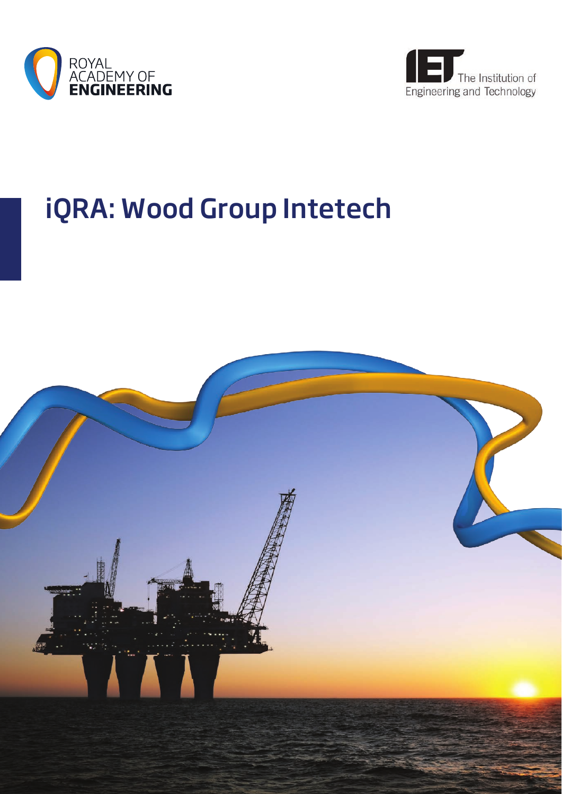



# iQRA: Wood Group Intetech

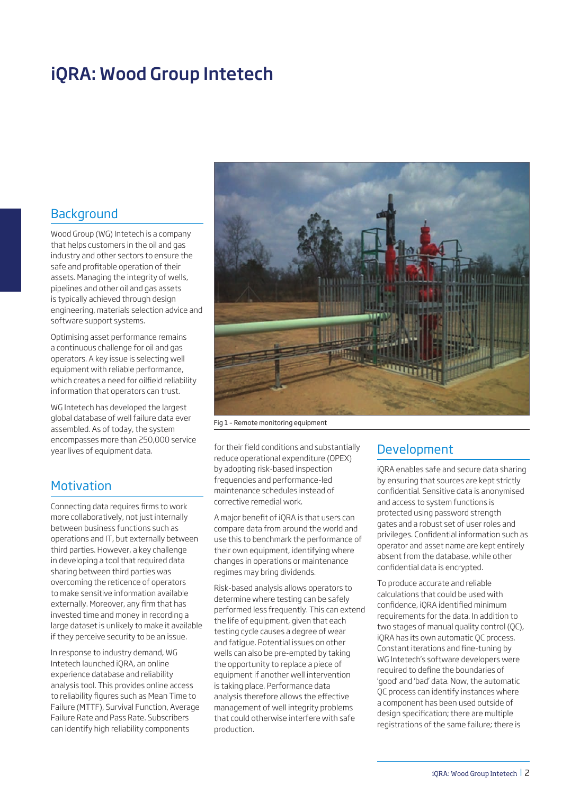# iQRA: Wood Group Intetech

#### **Background**

Wood Group (WG) Intetech is a company that helps customers in the oil and gas industry and other sectors to ensure the safe and profitable operation of their assets. Managing the integrity of wells, pipelines and other oil and gas assets is typically achieved through design engineering, materials selection advice and software support systems.

Optimising asset performance remains a continuous challenge for oil and gas operators. A key issue is selecting well equipment with reliable performance, which creates a need for oilfield reliability information that operators can trust.

WG Intetech has developed the largest global database of well failure data ever assembled. As of today, the system encompasses more than 250,000 service year lives of equipment data.

## **Motivation**

Connecting data requires firms to work more collaboratively, not just internally between business functions such as operations and IT, but externally between third parties. However, a key challenge in developing a tool that required data sharing between third parties was overcoming the reticence of operators to make sensitive information available externally. Moreover, any firm that has invested time and money in recording a large dataset is unlikely to make it available if they perceive security to be an issue.

In response to industry demand, WG Intetech launched iQRA, an online experience database and reliability analysis tool. This provides online access to reliability figures such as Mean Time to Failure (MTTF), Survival Function, Average Failure Rate and Pass Rate. Subscribers can identify high reliability components



Fig 1 – Remote monitoring equipment

for their field conditions and substantially reduce operational expenditure (OPEX) by adopting risk-based inspection frequencies and performance-led maintenance schedules instead of corrective remedial work.

A major benefit of iQRA is that users can compare data from around the world and use this to benchmark the performance of their own equipment, identifying where changes in operations or maintenance regimes may bring dividends.

Risk-based analysis allows operators to determine where testing can be safely performed less frequently. This can extend the life of equipment, given that each testing cycle causes a degree of wear and fatigue. Potential issues on other wells can also be pre-empted by taking the opportunity to replace a piece of equipment if another well intervention is taking place. Performance data analysis therefore allows the effective management of well integrity problems that could otherwise interfere with safe production.

## Development

iQRA enables safe and secure data sharing by ensuring that sources are kept strictly confidential. Sensitive data is anonymised and access to system functions is protected using password strength gates and a robust set of user roles and privileges. Confidential information such as operator and asset name are kept entirely absent from the database, while other confidential data is encrypted.

To produce accurate and reliable calculations that could be used with confidence, iQRA identified minimum requirements for the data. In addition to two stages of manual quality control (QC), iQRA has its own automatic QC process. Constant iterations and fine-tuning by WG Intetech's software developers were required to define the boundaries of 'good' and 'bad' data. Now, the automatic QC process can identify instances where a component has been used outside of design specification; there are multiple registrations of the same failure; there is